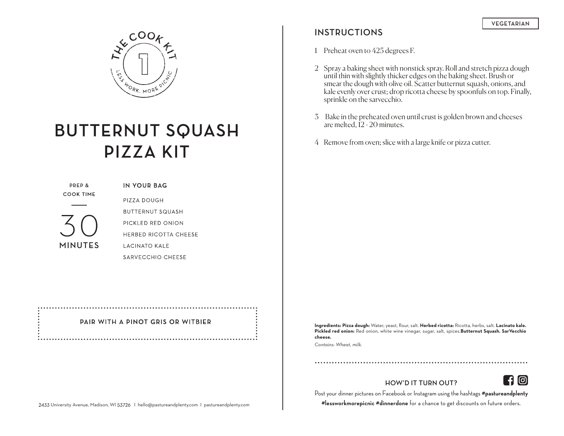

# **BUTTERNUT SQUASH PIZZA KIT**

**PREP & COOK TIME** 

**MINUTES**

**IN YOUR BAG** PIZZA DOUGH **BUTTERNUT SQUASH** PICKLED RED ONION HERBED RICOTTA CHEESE **LACINATO KALE** SARVECCHIO CHEESE

#### PAIR WITH A PINOT GRIS OR WITBIER

### **INSTRUCTIONS**

1 Preheat oven to 425 degrees F.

- 2 Spray a baking sheet with nonstick spray. Roll and stretch pizza dough until thin with slightly thicker edges on the baking sheet. Brush or smear the dough with olive oil. Scatter butternut squash, onions, and kale evenly over crust; drop ricotta cheese by spoonfuls on top. Finally, sprinkle on the sarvecchio.
- 3 Bake in the preheated oven until crust is golden brown and cheeses are melted, 12 - 20 minutes.
- 4 Remove from oven; slice with a large knife or pizza cutter.

**Ingredients: Pizza dough:** Water, yeast, flour, salt. **Herbed ricotta:** Ricotta, herbs, salt. **Lacinato kale. Pickled red onion:** Red onion, white wine vinegar, sugar, salt, spices.**Butternut Squash. SarVecchio cheese.**

*Contains: Wheat, milk.*

**HOW'D IT TURN OUT?**



Post your dinner pictures on Facebook or Instagram using the hashtags **#pastureandplenty** 

**#lessworkmorepicnic #dinnerdone** for a chance to get discounts on future orders.